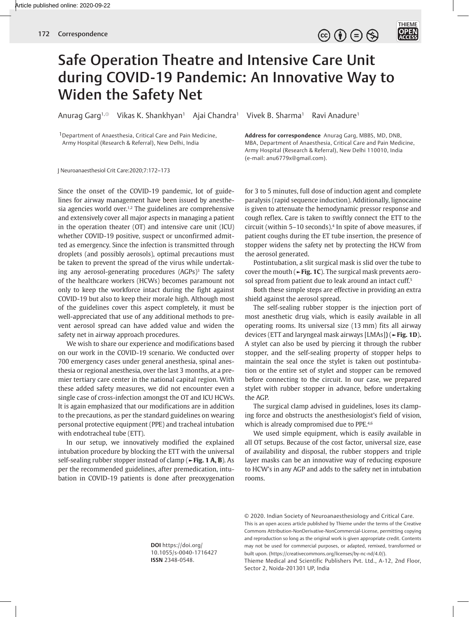

## Safe Operation Theatre and Intensive Care Unit during COVID-19 Pandemic: An Innovative Way to Widen the Safety Net

Anurag Garg<sup>1, ©</sup> Vikas K. Shankhyan<sup>1</sup> Ajai Chandra<sup>1</sup> Vivek B. Sharma<sup>1</sup> Ravi Anadure<sup>1</sup>

1Department of Anaesthesia, Critical Care and Pain Medicine, Army Hospital (Research & Referral), New Delhi, India

J Neuroanaesthesiol Crit Care:2020;7:172–173

Since the onset of the COVID-19 pandemic, lot of guidelines for airway management have been issued by anesthesia agencies world over.<sup>1,2</sup> The guidelines are comprehensive and extensively cover all major aspects in managing a patient in the operation theater (OT) and intensive care unit (ICU) whether COVID-19 positive, suspect or unconfirmed admitted as emergency. Since the infection is transmitted through droplets (and possibly aerosols), optimal precautions must be taken to prevent the spread of the virus while undertaking any aerosol-generating procedures (AGPs)<sup>3</sup> The safety of the healthcare workers (HCWs) becomes paramount not only to keep the workforce intact during the fight against COVID-19 but also to keep their morale high. Although most of the guidelines cover this aspect completely, it must be well-appreciated that use of any additional methods to prevent aerosol spread can have added value and widen the safety net in airway approach procedures.

We wish to share our experience and modifications based on our work in the COVID-19 scenario. We conducted over 700 emergency cases under general anesthesia, spinal anesthesia or regional anesthesia, over the last 3 months, at a premier tertiary care center in the national capital region. With these added safety measures, we did not encounter even a single case of cross-infection amongst the OT and ICU HCWs. It is again emphasized that our modifications are in addition to the precautions, as per the standard guidelines on wearing personal protective equipment (PPE) and tracheal intubation with endotracheal tube (ETT).

In our setup, we innovatively modified the explained intubation procedure by blocking the ETT with the universal self-sealing rubber stopper instead of clamp (**►Fig. 1 A, B**). As per the recommended guidelines, after premedication, intubation in COVID-19 patients is done after preoxygenation

**Address for correspondence** Anurag Garg, MBBS, MD, DNB, MBA, Department of Anaesthesia, Critical Care and Pain Medicine, Army Hospital (Research & Referral), New Delhi 110010, India (e-mail: anu6779x@gmail.com).

for 3 to 5 minutes, full dose of induction agent and complete paralysis (rapid sequence induction). Additionally, lignocaine is given to attenuate the hemodynamic pressor response and cough reflex. Care is taken to swiftly connect the ETT to the circuit (within 5–10 seconds).4 In spite of above measures, if patient coughs during the ET tube insertion, the presence of stopper widens the safety net by protecting the HCW from the aerosol generated.

Postintubation, a slit surgical mask is slid over the tube to cover the mouth (**►Fig. 1C**). The surgical mask prevents aerosol spread from patient due to leak around an intact cuff.<sup>5</sup>

Both these simple steps are effective in providing an extra shield against the aerosol spread.

The self-sealing rubber stopper is the injection port of most anesthetic drug vials, which is easily available in all operating rooms. Its universal size (13 mm) fits all airway devices (ETT and laryngeal mask airways [LMAs]**)** (**►Fig. 1D**)**.** A stylet can also be used by piercing it through the rubber stopper, and the self-sealing property of stopper helps to maintain the seal once the stylet is taken out postintubation or the entire set of stylet and stopper can be removed before connecting to the circuit. In our case, we prepared stylet with rubber stopper in advance, before undertaking the AGP.

The surgical clamp advised in guidelines, loses its clamping force and obstructs the anesthesiologist's field of vision, which is already compromised due to PPE.<sup>4,6</sup>

We used simple equipment, which is easily available in all OT setups. Because of the cost factor, universal size, ease of availability and disposal, the rubber stoppers and triple layer masks can be an innovative way of reducing exposure to HCW's in any AGP and adds to the safety net in intubation rooms.

**DOI** https://doi.org/ 10.1055/s-0040-1716427 **ISSN** 2348-0548.

© 2020. Indian Society of Neuroanaesthesiology and Critical Care. This is an open access article published by Thieme under the terms of the Creative Commons Attribution-NonDerivative-NonCommercial-License, permitting copying and reproduction so long as the original work is given appropriate credit. Contents may not be used for commercial purposes, or adapted, remixed, transformed or built upon. (https://creativecommons.org/licenses/by-nc-nd/4.0/).

Thieme Medical and Scientific Publishers Pvt. Ltd., A-12, 2nd Floor, Sector 2, Noida-201301 UP, India